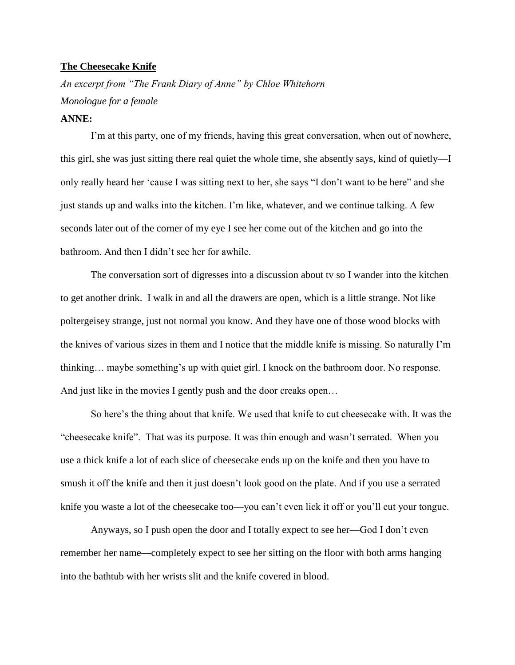## **The Cheesecake Knife**

*An excerpt from "The Frank Diary of Anne" by Chloe Whitehorn Monologue for a female* **ANNE:**

I'm at this party, one of my friends, having this great conversation, when out of nowhere, this girl, she was just sitting there real quiet the whole time, she absently says, kind of quietly—I only really heard her 'cause I was sitting next to her, she says "I don't want to be here" and she just stands up and walks into the kitchen. I'm like, whatever, and we continue talking. A few seconds later out of the corner of my eye I see her come out of the kitchen and go into the bathroom. And then I didn't see her for awhile.

The conversation sort of digresses into a discussion about tv so I wander into the kitchen to get another drink. I walk in and all the drawers are open, which is a little strange. Not like poltergeisey strange, just not normal you know. And they have one of those wood blocks with the knives of various sizes in them and I notice that the middle knife is missing. So naturally I'm thinking… maybe something's up with quiet girl. I knock on the bathroom door. No response. And just like in the movies I gently push and the door creaks open…

So here's the thing about that knife. We used that knife to cut cheesecake with. It was the "cheesecake knife". That was its purpose. It was thin enough and wasn't serrated. When you use a thick knife a lot of each slice of cheesecake ends up on the knife and then you have to smush it off the knife and then it just doesn't look good on the plate. And if you use a serrated knife you waste a lot of the cheesecake too—you can't even lick it off or you'll cut your tongue.

Anyways, so I push open the door and I totally expect to see her—God I don't even remember her name—completely expect to see her sitting on the floor with both arms hanging into the bathtub with her wrists slit and the knife covered in blood.